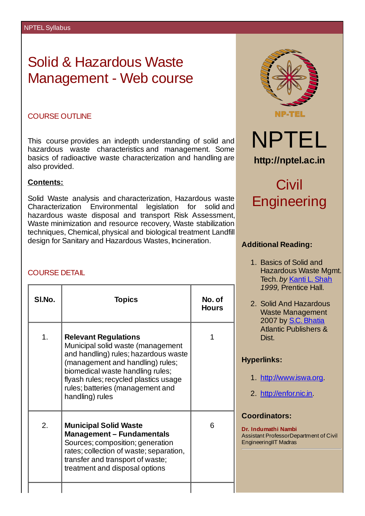# Solid & Hazardous Waste Management - Web course

#### COURSE OUTLINE

This course provides an indepth understanding of solid and hazardous waste characteristics and management. Some basics of radioactive waste characterization and handling are also provided.

### **Contents:**

Solid Waste analysis and characterization, Hazardous waste Characterization Environmental legislation for solid and hazardous waste disposal and transport Risk Assessment, Waste minimization and resource recovery, Waste stabilization techniques, Chemical, physical and biological treatment Landfill design for Sanitary and Hazardous Wastes, Incineration.

## COURSE DETAIL

| SI.No. | <b>Topics</b>                                                                                                                                                                                                                                                                    | No. of<br><b>Hours</b> |
|--------|----------------------------------------------------------------------------------------------------------------------------------------------------------------------------------------------------------------------------------------------------------------------------------|------------------------|
| 1.     | <b>Relevant Regulations</b><br>Municipal solid waste (management<br>and handling) rules; hazardous waste<br>(management and handling) rules;<br>biomedical waste handling rules;<br>flyash rules; recycled plastics usage<br>rules; batteries (management and<br>handling) rules | 1                      |
| 2.     | <b>Municipal Solid Waste</b><br><b>Management - Fundamentals</b><br>Sources; composition; generation<br>rates; collection of waste; separation,<br>transfer and transport of waste;<br>treatment and disposal options                                                            | հ                      |
|        |                                                                                                                                                                                                                                                                                  |                        |



# Civil **Engineering**

## **Additional Reading:**

- 1. Basics of Solid and Hazardous Waste Mgmt. Tech. *by* Kanti [L.Shah](http://search.barnesandnoble.com/booksearch/results.asp?ATH=Kanti+L%2E+Shah) *1999,* Prentice Hall.
- 2. Solid And Hazardous Waste Management 2007 by S.C. Bhatia Atlantic Publishers & Dist.

### **Hyperlinks:**

- 1. <http://www.iswa.org>.
- 2. <http://enfor.nic.in>.

### **Coordinators:**

**Dr. Indumathi Nambi** Assistant ProfessorDepartment of Civil EngineeringIIT Madras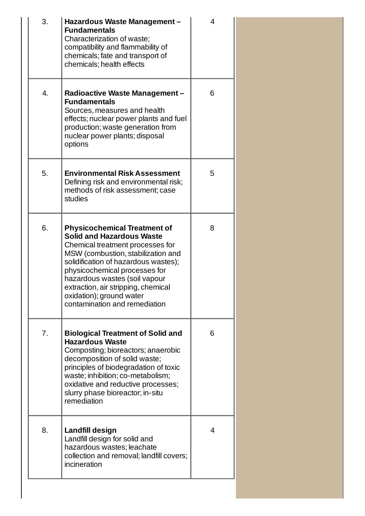| 3.               | <b>Hazardous Waste Management -</b><br><b>Fundamentals</b><br>Characterization of waste;<br>compatibility and flammability of<br>chemicals; fate and transport of<br>chemicals; health effects                                                                                                                                                                  | 4 |
|------------------|-----------------------------------------------------------------------------------------------------------------------------------------------------------------------------------------------------------------------------------------------------------------------------------------------------------------------------------------------------------------|---|
| $\overline{4}$ . | <b>Radioactive Waste Management -</b><br><b>Fundamentals</b><br>Sources, measures and health<br>effects; nuclear power plants and fuel<br>production; waste generation from<br>nuclear power plants; disposal<br>options                                                                                                                                        | 6 |
| 5.               | <b>Environmental Risk Assessment</b><br>Defining risk and environmental risk;<br>methods of risk assessment; case<br>studies                                                                                                                                                                                                                                    | 5 |
| 6.               | <b>Physicochemical Treatment of</b><br><b>Solid and Hazardous Waste</b><br>Chemical treatment processes for<br>MSW (combustion, stabilization and<br>solidification of hazardous wastes);<br>physicochemical processes for<br>hazardous wastes (soil vapour<br>extraction, air stripping, chemical<br>oxidation); ground water<br>contamination and remediation | 8 |
| 7.               | <b>Biological Treatment of Solid and</b><br><b>Hazardous Waste</b><br>Composting; bioreactors; anaerobic<br>decomposition of solid waste;<br>principles of biodegradation of toxic<br>waste; inhibition; co-metabolism;<br>oxidative and reductive processes;<br>slurry phase bioreactor; in-situ<br>remediation                                                | 6 |
| 8.               | Landfill design<br>Landfill design for solid and<br>hazardous wastes; leachate<br>collection and removal; landfill covers;<br>incineration                                                                                                                                                                                                                      | 4 |